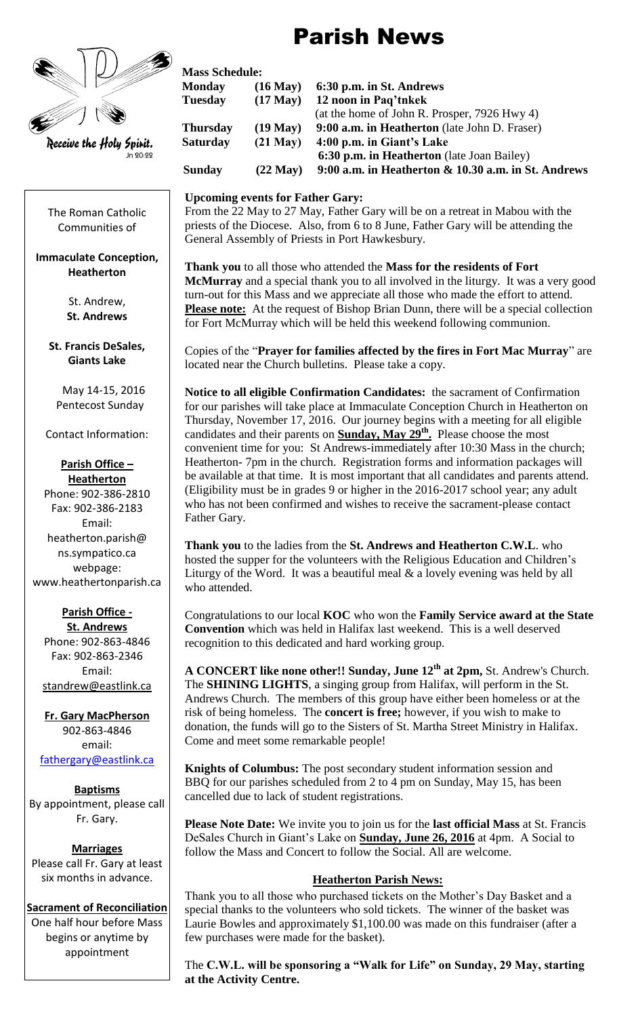# Parish News



The Roman Catholic Communities of

#### **Immaculate Conception, Heatherton**

St. Andrew, **St. Andrews**

**St. Francis DeSales, Giants Lake**

May 14-15, 2016 Pentecost Sunday

Contact Information:

#### **Parish Office – Heatherton**

Phone: 902-386-2810 Fax: 902-386-2183 Email: heatherton.parish@ ns.sympatico.ca webpage: www.heathertonparish.ca

## **Parish Office -**

**St. Andrews** Phone: 902-863-4846 Fax: 902-863-2346 Email: [standrew@eastlink.ca](mailto:standrew@eastlink.ca)

**Fr. Gary MacPherson** 902-863-4846 email: [fathergary@eastlink.ca](mailto:fathergary@eastlink.ca)

**Baptisms** By appointment, please call Fr. Gary.

**Marriages** Please call Fr. Gary at least six months in advance.

### **Sacrament of Reconciliation**

One half hour before Mass begins or anytime by appointment

|                          |                 | <b>Mass Schedule:</b> |                                                        |  |
|--------------------------|-----------------|-----------------------|--------------------------------------------------------|--|
|                          | <b>Monday</b>   | $(16$ May $)$         | 6:30 p.m. in St. Andrews                               |  |
|                          | <b>Tuesday</b>  | $(17$ May $)$         | 12 noon in Paq'tnkek                                   |  |
|                          |                 |                       | (at the home of John R. Prosper, 7926 Hwy 4)           |  |
|                          | <b>Thursday</b> | $(19$ May $)$         | 9:00 a.m. in Heatherton (late John D. Fraser)          |  |
| Receive the Holy Spirit. | <b>Saturday</b> | $(21$ May $)$         | 4:00 p.m. in Giant's Lake                              |  |
| Jn 20:22                 |                 |                       | 6:30 p.m. in Heatherton (late Joan Bailey)             |  |
|                          | <b>Sunday</b>   | $(22$ May $)$         | 9:00 a.m. in Heatherton $\&$ 10.30 a.m. in St. Andrews |  |

## **Upcoming events for Father Gary:**

From the 22 May to 27 May, Father Gary will be on a retreat in Mabou with the priests of the Diocese. Also, from 6 to 8 June, Father Gary will be attending the General Assembly of Priests in Port Hawkesbury.

**Thank you** to all those who attended the **Mass for the residents of Fort McMurray** and a special thank you to all involved in the liturgy. It was a very good turn-out for this Mass and we appreciate all those who made the effort to attend. **Please note:** At the request of Bishop Brian Dunn, there will be a special collection for Fort McMurray which will be held this weekend following communion.

Copies of the "**Prayer for families affected by the fires in Fort Mac Murray**" are located near the Church bulletins. Please take a copy.

**Notice to all eligible Confirmation Candidates:** the sacrament of Confirmation for our parishes will take place at Immaculate Conception Church in Heatherton on Thursday, November 17, 2016. Our journey begins with a meeting for all eligible candidates and their parents on **Sunday, May 29th .** Please choose the most convenient time for you: St Andrews-immediately after 10:30 Mass in the church; Heatherton- 7pm in the church. Registration forms and information packages will be available at that time. It is most important that all candidates and parents attend. (Eligibility must be in grades 9 or higher in the 2016-2017 school year; any adult who has not been confirmed and wishes to receive the sacrament-please contact Father Gary.

**Thank you** to the ladies from the **St. Andrews and Heatherton C.W.L**. who hosted the supper for the volunteers with the Religious Education and Children's Liturgy of the Word. It was a beautiful meal  $\&$  a lovely evening was held by all who attended.

Congratulations to our local **KOC** who won the **Family Service award at the State Convention** which was held in Halifax last weekend. This is a well deserved recognition to this dedicated and hard working group.

**A CONCERT like none other!! Sunday, June 12th at 2pm,** St. Andrew's Church. The **SHINING LIGHTS**, a singing group from Halifax, will perform in the St. Andrews Church. The members of this group have either been homeless or at the risk of being homeless. The **concert is free;** however, if you wish to make to donation, the funds will go to the Sisters of St. Martha Street Ministry in Halifax. Come and meet some remarkable people!

**Knights of Columbus:** The post secondary student information session and BBQ for our parishes scheduled from 2 to 4 pm on Sunday, May 15, has been cancelled due to lack of student registrations.

**Please Note Date:** We invite you to join us for the **last official Mass** at St. Francis DeSales Church in Giant's Lake on **Sunday, June 26, 2016** at 4pm. A Social to follow the Mass and Concert to follow the Social. All are welcome.

## **Heatherton Parish News:**

Thank you to all those who purchased tickets on the Mother's Day Basket and a special thanks to the volunteers who sold tickets. The winner of the basket was Laurie Bowles and approximately \$1,100.00 was made on this fundraiser (after a few purchases were made for the basket).

The **C.W.L. will be sponsoring a "Walk for Life" on Sunday, 29 May, starting at the Activity Centre.**